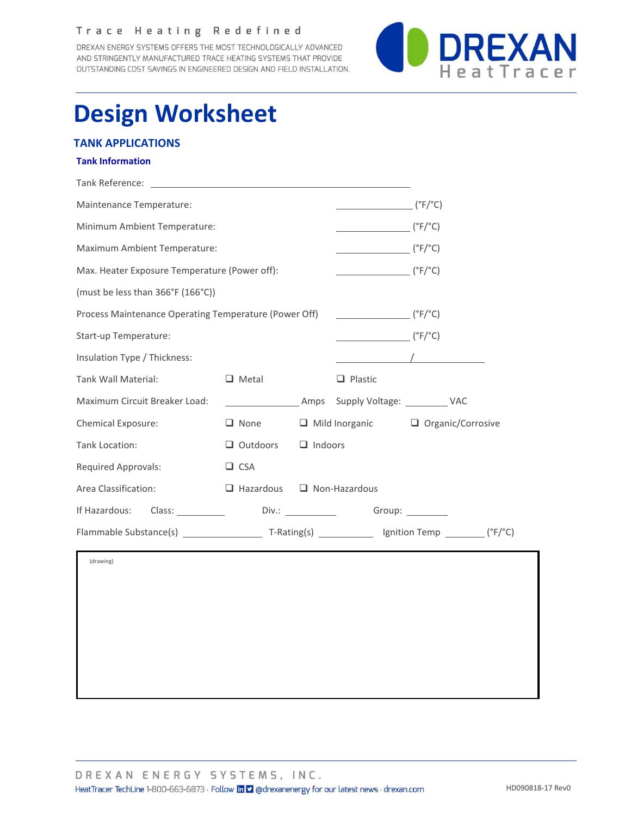### Trace Heating Redefined

DREXAN ENERGY SYSTEMS OFFERS THE MOST TECHNOLOGICALLY ADVANCED AND STRINGENTLY MANUFACTURED TRACE HEATING SYSTEMS THAT PROVIDE OUTSTANDING COST SAVINGS IN ENGINEERED DESIGN AND FIELD INSTALLATION.



# **Design Worksheet**

## **TANK APPLICATIONS**

#### **Tank Information**

| Tank Reference:                                                                                                                                                                                                                                 | <u> 1989 - Jan Samuel Barbara, margaret e</u> n 1989 eta eta eskualdean eta eskualdean eta eskualdean eta eta eta eta |                                                                   |                                               |                                                                                                                                                                                                                                                                                                                                                                                      |  |
|-------------------------------------------------------------------------------------------------------------------------------------------------------------------------------------------------------------------------------------------------|-----------------------------------------------------------------------------------------------------------------------|-------------------------------------------------------------------|-----------------------------------------------|--------------------------------------------------------------------------------------------------------------------------------------------------------------------------------------------------------------------------------------------------------------------------------------------------------------------------------------------------------------------------------------|--|
| Maintenance Temperature:                                                                                                                                                                                                                        | $(^{\circ}F/^{\circ}C)$                                                                                               |                                                                   |                                               |                                                                                                                                                                                                                                                                                                                                                                                      |  |
| Minimum Ambient Temperature:                                                                                                                                                                                                                    | $(\degree$ F/ $\degree$ C)                                                                                            |                                                                   |                                               |                                                                                                                                                                                                                                                                                                                                                                                      |  |
| Maximum Ambient Temperature:                                                                                                                                                                                                                    | $\overline{\hspace{1cm}}$ (°F/°C)                                                                                     |                                                                   |                                               |                                                                                                                                                                                                                                                                                                                                                                                      |  |
| Max. Heater Exposure Temperature (Power off):                                                                                                                                                                                                   |                                                                                                                       | $\overline{\hspace{1cm} ({}^\circ \text{F} / {}^\circ \text{C})}$ |                                               |                                                                                                                                                                                                                                                                                                                                                                                      |  |
| (must be less than 366°F (166°C))                                                                                                                                                                                                               |                                                                                                                       |                                                                   |                                               |                                                                                                                                                                                                                                                                                                                                                                                      |  |
| Process Maintenance Operating Temperature (Power Off)                                                                                                                                                                                           | $(\degree$ F/ $\degree$ C)                                                                                            |                                                                   |                                               |                                                                                                                                                                                                                                                                                                                                                                                      |  |
| Start-up Temperature:                                                                                                                                                                                                                           | $(\degree$ F/ $\degree$ C)                                                                                            |                                                                   |                                               |                                                                                                                                                                                                                                                                                                                                                                                      |  |
| Insulation Type / Thickness:                                                                                                                                                                                                                    |                                                                                                                       |                                                                   |                                               | $\overline{a}$ $\overline{a}$ $\overline{a}$ $\overline{a}$ $\overline{a}$ $\overline{a}$ $\overline{a}$ $\overline{a}$ $\overline{a}$ $\overline{a}$ $\overline{a}$ $\overline{a}$ $\overline{a}$ $\overline{a}$ $\overline{a}$ $\overline{a}$ $\overline{a}$ $\overline{a}$ $\overline{a}$ $\overline{a}$ $\overline{a}$ $\overline{a}$ $\overline{a}$ $\overline{a}$ $\overline{$ |  |
| Tank Wall Material:                                                                                                                                                                                                                             | $\Box$ Metal                                                                                                          |                                                                   | $\Box$ Plastic                                |                                                                                                                                                                                                                                                                                                                                                                                      |  |
| Maximum Circuit Breaker Load:                                                                                                                                                                                                                   |                                                                                                                       |                                                                   | Manusch Manusch Amps Supply Voltage: WAC      |                                                                                                                                                                                                                                                                                                                                                                                      |  |
| Chemical Exposure:                                                                                                                                                                                                                              | $\Box$ None                                                                                                           |                                                                   |                                               | $\Box$ Mild Inorganic $\Box$ Organic/Corrosive                                                                                                                                                                                                                                                                                                                                       |  |
| Tank Location:                                                                                                                                                                                                                                  | $\Box$ Outdoors<br>$\Box$ Indoors                                                                                     |                                                                   |                                               |                                                                                                                                                                                                                                                                                                                                                                                      |  |
| <b>Required Approvals:</b>                                                                                                                                                                                                                      | $\Box$ CSA                                                                                                            |                                                                   |                                               |                                                                                                                                                                                                                                                                                                                                                                                      |  |
| Area Classification:                                                                                                                                                                                                                            | $\Box$ Hazardous $\Box$ Non-Hazardous                                                                                 |                                                                   |                                               |                                                                                                                                                                                                                                                                                                                                                                                      |  |
| If Hazardous:<br>Class: Class and Class of the Class of the Class of the Class of the Class of the Class of the Class of the Class of the Class of the Class of the Class of the Class of the Class of the Class of the Class of the Class of t |                                                                                                                       |                                                                   | Div.: ______________________Group: __________ |                                                                                                                                                                                                                                                                                                                                                                                      |  |
|                                                                                                                                                                                                                                                 |                                                                                                                       |                                                                   |                                               |                                                                                                                                                                                                                                                                                                                                                                                      |  |
| (drawing)                                                                                                                                                                                                                                       |                                                                                                                       |                                                                   |                                               |                                                                                                                                                                                                                                                                                                                                                                                      |  |